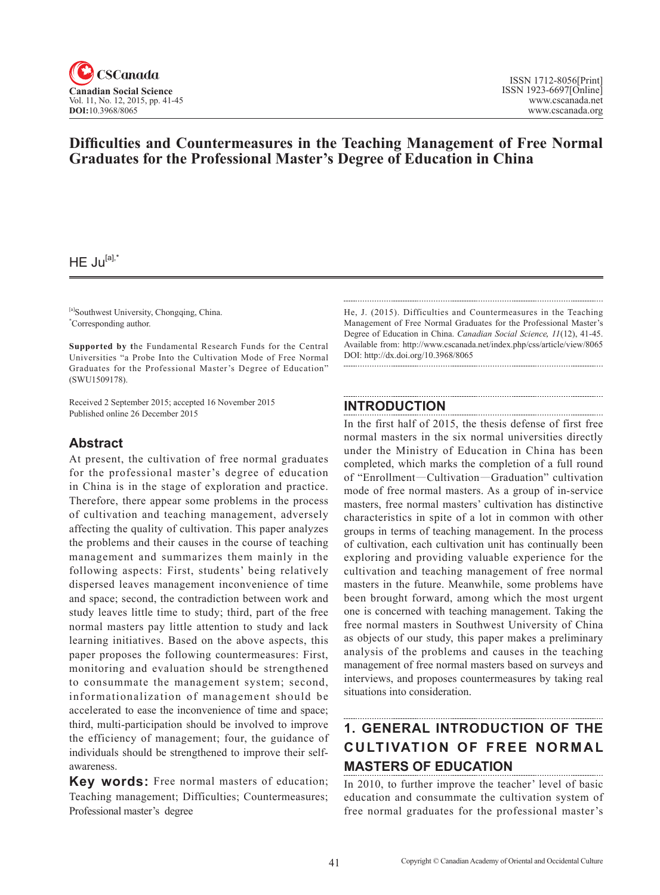

# **Difficulties and Countermeasures in the Teaching Management of Free Normal Graduates for the Professional Master's Degree of Education in China**

 $HE$  Ju<sup>[a],\*</sup>

[a]Southwest University, Chongqing, China. \* Corresponding author.

**Supported by t**he Fundamental Research Funds for the Central Universities "a Probe Into the Cultivation Mode of Free Normal Graduates for the Professional Master's Degree of Education" (SWU1509178).

Received 2 September 2015; accepted 16 November 2015 Published online 26 December 2015

## **Abstract**

At present, the cultivation of free normal graduates for the professional master's degree of education in China is in the stage of exploration and practice. Therefore, there appear some problems in the process of cultivation and teaching management, adversely affecting the quality of cultivation. This paper analyzes the problems and their causes in the course of teaching management and summarizes them mainly in the following aspects: First, students' being relatively dispersed leaves management inconvenience of time and space; second, the contradiction between work and study leaves little time to study; third, part of the free normal masters pay little attention to study and lack learning initiatives. Based on the above aspects, this paper proposes the following countermeasures: First, monitoring and evaluation should be strengthened to consummate the management system; second, informationalization of management should be accelerated to ease the inconvenience of time and space; third, multi-participation should be involved to improve the efficiency of management; four, the guidance of individuals should be strengthened to improve their selfawareness.

**Key words:** Free normal masters of education; Teaching management; Difficulties; Countermeasures; Professional master's degree

He, J. (2015). Difficulties and Countermeasures in the Teaching Management of Free Normal Graduates for the Professional Master's Degree of Education in China. *Canadian Social Science*, <sup>11</sup>(12), 41-45. Available from: http://www.cscanada.net/index.php/css/article/view/8065 DOI: http://dx.doi.org/10.3968/8065

## **INTRODUCTION**

In the first half of 2015, the thesis defense of first free normal masters in the six normal universities directly under the Ministry of Education in China has been completed, which marks the completion of a full round of "Enrollment—Cultivation—Graduation" cultivation mode of free normal masters. As a group of in-service masters, free normal masters' cultivation has distinctive characteristics in spite of a lot in common with other groups in terms of teaching management. In the process of cultivation, each cultivation unit has continually been exploring and providing valuable experience for the cultivation and teaching management of free normal masters in the future. Meanwhile, some problems have been brought forward, among which the most urgent one is concerned with teaching management. Taking the free normal masters in Southwest University of China as objects of our study, this paper makes a preliminary analysis of the problems and causes in the teaching management of free normal masters based on surveys and interviews, and proposes countermeasures by taking real situations into consideration.

# **1. GENERAL INTRODUCTION OF THE CULTIVATION OF FREE NORMAL MASTERS OF EDUCATION**

In 2010, to further improve the teacher' level of basic education and consummate the cultivation system of free normal graduates for the professional master's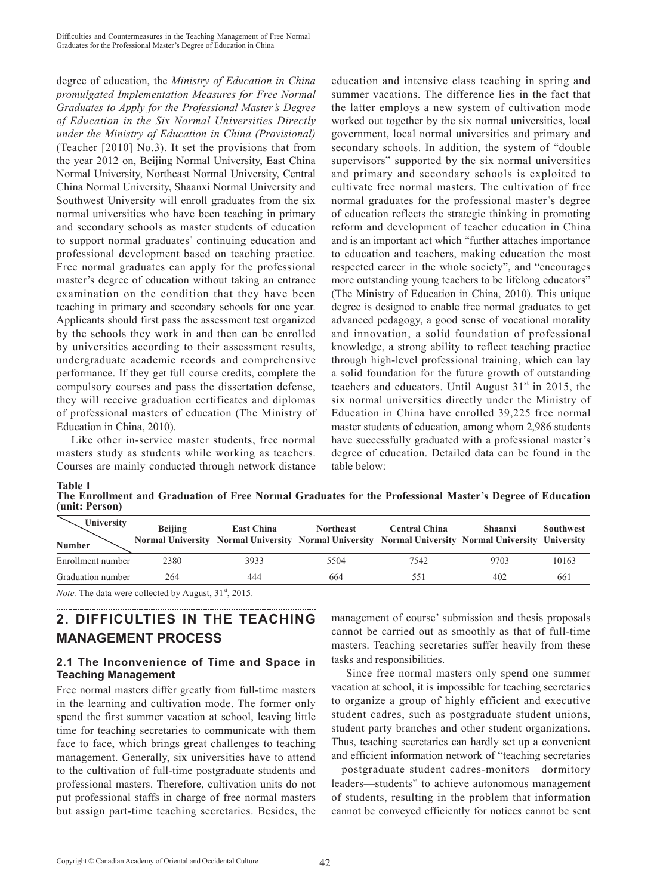degree of education, the *Ministry of Education in China promulgated Implementation Measures for Free Normal Graduates to Apply for the Professional Master's Degree of Education in the Six Normal Universities Directly under the Ministry of Education in China (Provisional)*  (Teacher [2010] No.3). It set the provisions that from the year 2012 on, Beijing Normal University, East China Normal University, Northeast Normal University, Central China Normal University, Shaanxi Normal University and Southwest University will enroll graduates from the six normal universities who have been teaching in primary and secondary schools as master students of education to support normal graduates' continuing education and professional development based on teaching practice. Free normal graduates can apply for the professional master's degree of education without taking an entrance examination on the condition that they have been teaching in primary and secondary schools for one year. Applicants should first pass the assessment test organized by the schools they work in and then can be enrolled by universities according to their assessment results, undergraduate academic records and comprehensive performance. If they get full course credits, complete the compulsory courses and pass the dissertation defense, they will receive graduation certificates and diplomas of professional masters of education (The Ministry of Education in China, 2010).

Like other in-service master students, free normal masters study as students while working as teachers. Courses are mainly conducted through network distance education and intensive class teaching in spring and summer vacations. The difference lies in the fact that the latter employs a new system of cultivation mode worked out together by the six normal universities, local government, local normal universities and primary and secondary schools. In addition, the system of "double supervisors" supported by the six normal universities and primary and secondary schools is exploited to cultivate free normal masters. The cultivation of free normal graduates for the professional master's degree of education reflects the strategic thinking in promoting reform and development of teacher education in China and is an important act which "further attaches importance to education and teachers, making education the most respected career in the whole society", and "encourages more outstanding young teachers to be lifelong educators" (The Ministry of Education in China, 2010). This unique degree is designed to enable free normal graduates to get advanced pedagogy, a good sense of vocational morality and innovation, a solid foundation of professional knowledge, a strong ability to reflect teaching practice through high-level professional training, which can lay a solid foundation for the future growth of outstanding teachers and educators. Until August  $31<sup>st</sup>$  in 2015, the six normal universities directly under the Ministry of Education in China have enrolled 39,225 free normal master students of education, among whom 2,986 students have successfully graduated with a professional master's degree of education. Detailed data can be found in the table below:

| The Enrollment and Graduation of Free Normal Graduates for the Professional Master's Degree of Education |  |  |  |  |
|----------------------------------------------------------------------------------------------------------|--|--|--|--|
| (unit: Person)                                                                                           |  |  |  |  |

| University<br><b>Number</b> | <b>Beijing</b> | <b>East China</b> | <b>Northeast</b><br>Normal University Normal University Normal University Normal University Normal University University | <b>Central China</b> | <b>Shaanxi</b> | <b>Southwest</b> |
|-----------------------------|----------------|-------------------|--------------------------------------------------------------------------------------------------------------------------|----------------------|----------------|------------------|
| Enrollment number           | 2380           | 3933              | 5504                                                                                                                     | 7542                 | 9703           | 10163            |
| Graduation number           | 264            | 444               | 664                                                                                                                      | 551                  | 402            | 661              |

*Note.* The data were collected by August, 31<sup>st</sup>, 2015.

**Table 1**

# **2. DIFFICULTIES IN THE TEACHING MANAGEMENT PROCESS**

#### **2.1 The Inconvenience of Time and Space in Teaching Management**

Free normal masters differ greatly from full-time masters in the learning and cultivation mode. The former only spend the first summer vacation at school, leaving little time for teaching secretaries to communicate with them face to face, which brings great challenges to teaching management. Generally, six universities have to attend to the cultivation of full-time postgraduate students and professional masters. Therefore, cultivation units do not put professional staffs in charge of free normal masters but assign part-time teaching secretaries. Besides, the management of course' submission and thesis proposals cannot be carried out as smoothly as that of full-time masters. Teaching secretaries suffer heavily from these tasks and responsibilities.

Since free normal masters only spend one summer vacation at school, it is impossible for teaching secretaries to organize a group of highly efficient and executive student cadres, such as postgraduate student unions, student party branches and other student organizations. Thus, teaching secretaries can hardly set up a convenient and efficient information network of "teaching secretaries – postgraduate student cadres-monitors—dormitory leaders—students" to achieve autonomous management of students, resulting in the problem that information cannot be conveyed efficiently for notices cannot be sent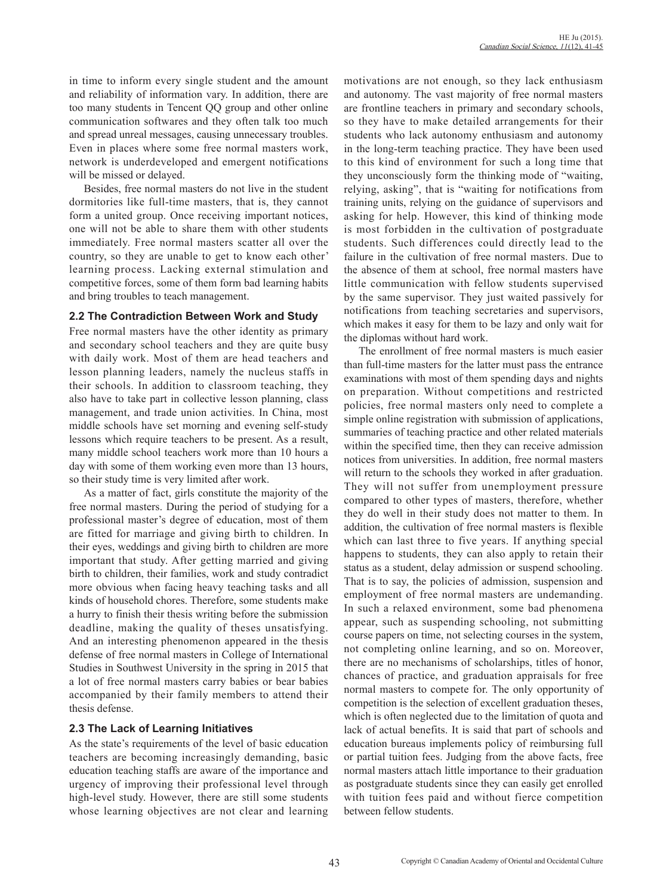in time to inform every single student and the amount and reliability of information vary. In addition, there are too many students in Tencent QQ group and other online communication softwares and they often talk too much and spread unreal messages, causing unnecessary troubles. Even in places where some free normal masters work, network is underdeveloped and emergent notifications will be missed or delayed.

Besides, free normal masters do not live in the student dormitories like full-time masters, that is, they cannot form a united group. Once receiving important notices, one will not be able to share them with other students immediately. Free normal masters scatter all over the country, so they are unable to get to know each other' learning process. Lacking external stimulation and competitive forces, some of them form bad learning habits and bring troubles to teach management.

#### **2.2 The Contradiction Between Work and Study**

Free normal masters have the other identity as primary and secondary school teachers and they are quite busy with daily work. Most of them are head teachers and lesson planning leaders, namely the nucleus staffs in their schools. In addition to classroom teaching, they also have to take part in collective lesson planning, class management, and trade union activities. In China, most middle schools have set morning and evening self-study lessons which require teachers to be present. As a result, many middle school teachers work more than 10 hours a day with some of them working even more than 13 hours, so their study time is very limited after work.

As a matter of fact, girls constitute the majority of the free normal masters. During the period of studying for a professional master's degree of education, most of them are fitted for marriage and giving birth to children. In their eyes, weddings and giving birth to children are more important that study. After getting married and giving birth to children, their families, work and study contradict more obvious when facing heavy teaching tasks and all kinds of household chores. Therefore, some students make a hurry to finish their thesis writing before the submission deadline, making the quality of theses unsatisfying. And an interesting phenomenon appeared in the thesis defense of free normal masters in College of International Studies in Southwest University in the spring in 2015 that a lot of free normal masters carry babies or bear babies accompanied by their family members to attend their thesis defense.

## **2.3 The Lack of Learning Initiatives**

As the state's requirements of the level of basic education teachers are becoming increasingly demanding, basic education teaching staffs are aware of the importance and urgency of improving their professional level through high-level study. However, there are still some students whose learning objectives are not clear and learning motivations are not enough, so they lack enthusiasm and autonomy. The vast majority of free normal masters are frontline teachers in primary and secondary schools, so they have to make detailed arrangements for their students who lack autonomy enthusiasm and autonomy in the long-term teaching practice. They have been used to this kind of environment for such a long time that they unconsciously form the thinking mode of "waiting, relying, asking", that is "waiting for notifications from training units, relying on the guidance of supervisors and asking for help. However, this kind of thinking mode is most forbidden in the cultivation of postgraduate students. Such differences could directly lead to the failure in the cultivation of free normal masters. Due to the absence of them at school, free normal masters have little communication with fellow students supervised by the same supervisor. They just waited passively for notifications from teaching secretaries and supervisors, which makes it easy for them to be lazy and only wait for the diplomas without hard work.

The enrollment of free normal masters is much easier than full-time masters for the latter must pass the entrance examinations with most of them spending days and nights on preparation. Without competitions and restricted policies, free normal masters only need to complete a simple online registration with submission of applications, summaries of teaching practice and other related materials within the specified time, then they can receive admission notices from universities. In addition, free normal masters will return to the schools they worked in after graduation. They will not suffer from unemployment pressure compared to other types of masters, therefore, whether they do well in their study does not matter to them. In addition, the cultivation of free normal masters is flexible which can last three to five years. If anything special happens to students, they can also apply to retain their status as a student, delay admission or suspend schooling. That is to say, the policies of admission, suspension and employment of free normal masters are undemanding. In such a relaxed environment, some bad phenomena appear, such as suspending schooling, not submitting course papers on time, not selecting courses in the system, not completing online learning, and so on. Moreover, there are no mechanisms of scholarships, titles of honor, chances of practice, and graduation appraisals for free normal masters to compete for. The only opportunity of competition is the selection of excellent graduation theses, which is often neglected due to the limitation of quota and lack of actual benefits. It is said that part of schools and education bureaus implements policy of reimbursing full or partial tuition fees. Judging from the above facts, free normal masters attach little importance to their graduation as postgraduate students since they can easily get enrolled with tuition fees paid and without fierce competition between fellow students.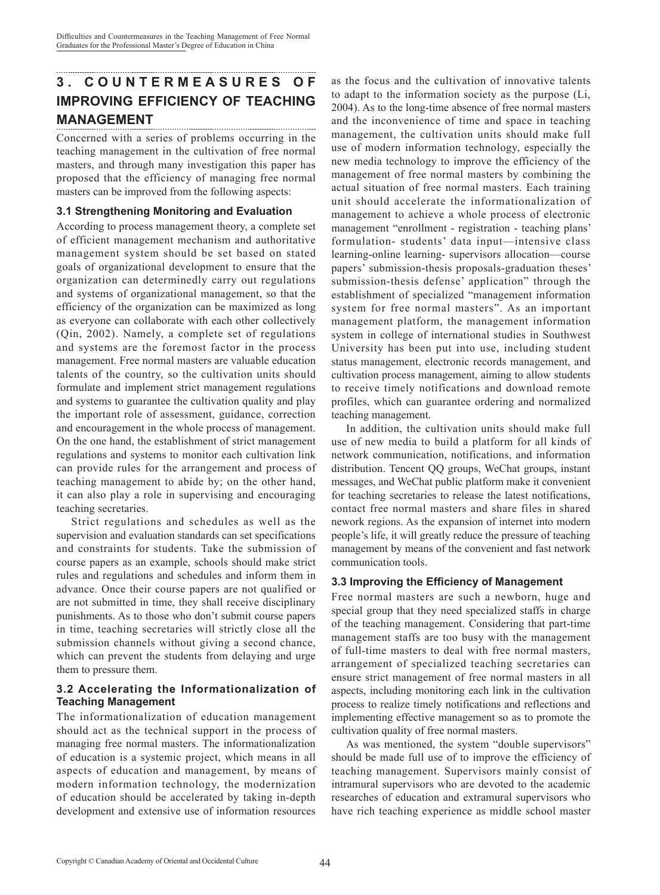## **3 . C O U N T E R M E A S U R E S O F IMPROVING EFFICIENCY OF TEACHING MANAGEMENT**

Concerned with a series of problems occurring in the teaching management in the cultivation of free normal masters, and through many investigation this paper has proposed that the efficiency of managing free normal masters can be improved from the following aspects:

## **3.1 Strengthening Monitoring and Evaluation**

According to process management theory, a complete set of efficient management mechanism and authoritative management system should be set based on stated goals of organizational development to ensure that the organization can determinedly carry out regulations and systems of organizational management, so that the efficiency of the organization can be maximized as long as everyone can collaborate with each other collectively (Qin, 2002). Namely, a complete set of regulations and systems are the foremost factor in the process management. Free normal masters are valuable education talents of the country, so the cultivation units should formulate and implement strict management regulations and systems to guarantee the cultivation quality and play the important role of assessment, guidance, correction and encouragement in the whole process of management. On the one hand, the establishment of strict management regulations and systems to monitor each cultivation link can provide rules for the arrangement and process of teaching management to abide by; on the other hand, it can also play a role in supervising and encouraging teaching secretaries.

Strict regulations and schedules as well as the supervision and evaluation standards can set specifications and constraints for students. Take the submission of course papers as an example, schools should make strict rules and regulations and schedules and inform them in advance. Once their course papers are not qualified or are not submitted in time, they shall receive disciplinary punishments. As to those who don't submit course papers in time, teaching secretaries will strictly close all the submission channels without giving a second chance, which can prevent the students from delaying and urge them to pressure them.

## **3.2 Accelerating the Informationalization of Teaching Management**

The informationalization of education management should act as the technical support in the process of managing free normal masters. The informationalization of education is a systemic project, which means in all aspects of education and management, by means of modern information technology, the modernization of education should be accelerated by taking in-depth development and extensive use of information resources

as the focus and the cultivation of innovative talents to adapt to the information society as the purpose (Li, 2004). As to the long-time absence of free normal masters and the inconvenience of time and space in teaching management, the cultivation units should make full use of modern information technology, especially the new media technology to improve the efficiency of the management of free normal masters by combining the actual situation of free normal masters. Each training unit should accelerate the informationalization of management to achieve a whole process of electronic management "enrollment - registration - teaching plans' formulation- students' data input—intensive class learning-online learning- supervisors allocation—course papers' submission-thesis proposals-graduation theses' submission-thesis defense' application" through the establishment of specialized "management information system for free normal masters". As an important management platform, the management information system in college of international studies in Southwest University has been put into use, including student status management, electronic records management, and cultivation process management, aiming to allow students to receive timely notifications and download remote profiles, which can guarantee ordering and normalized teaching management.

In addition, the cultivation units should make full use of new media to build a platform for all kinds of network communication, notifications, and information distribution. Tencent QQ groups, WeChat groups, instant messages, and WeChat public platform make it convenient for teaching secretaries to release the latest notifications, contact free normal masters and share files in shared nework regions. As the expansion of internet into modern people's life, it will greatly reduce the pressure of teaching management by means of the convenient and fast network communication tools.

## **3.3 Improving the Efficiency of Management**

Free normal masters are such a newborn, huge and special group that they need specialized staffs in charge of the teaching management. Considering that part-time management staffs are too busy with the management of full-time masters to deal with free normal masters, arrangement of specialized teaching secretaries can ensure strict management of free normal masters in all aspects, including monitoring each link in the cultivation process to realize timely notifications and reflections and implementing effective management so as to promote the cultivation quality of free normal masters.

As was mentioned, the system "double supervisors" should be made full use of to improve the efficiency of teaching management. Supervisors mainly consist of intramural supervisors who are devoted to the academic researches of education and extramural supervisors who have rich teaching experience as middle school master